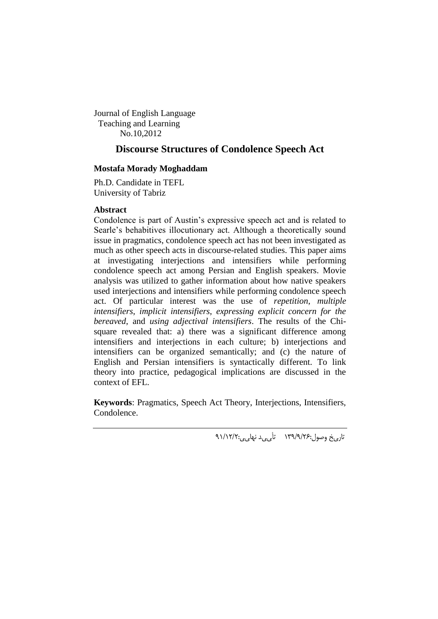Journal of English Language Teaching and Learning No.10,2012

## **Discourse Structures of Condolence Speech Act**

## **Mostafa Morady Moghaddam**

Ph.D. Candidate in TEFL University of Tabriz

### **Abstract**

Condolence is part of Austin's expressive speech act and is related to Searle's behabitives illocutionary act. Although a theoretically sound issue in pragmatics, condolence speech act has not been investigated as much as other speech acts in discourse-related studies. This paper aims at investigating interjections and intensifiers while performing condolence speech act among Persian and English speakers. Movie analysis was utilized to gather information about how native speakers used interjections and intensifiers while performing condolence speech act. Of particular interest was the use of *repetition*, *multiple intensifiers*, *implicit intensifiers*, *expressing explicit concern for the bereaved*, and *using adjectival intensifiers*. The results of the Chisquare revealed that: a) there was a significant difference among intensifiers and interjections in each culture; b) interjections and intensifiers can be organized semantically; and (c) the nature of English and Persian intensifiers is syntactically different. To link theory into practice, pedagogical implications are discussed in the context of EFL.

**Keywords**: Pragmatics, Speech Act Theory, Interjections, Intensifiers, Condolence.

تار<sub>ی</sub>خ وصول:۱۳۹/۹/۲۶ تأ<sub>ی م</sub>د نها<sub>ی م</sub>:۹۱/۱۲/۲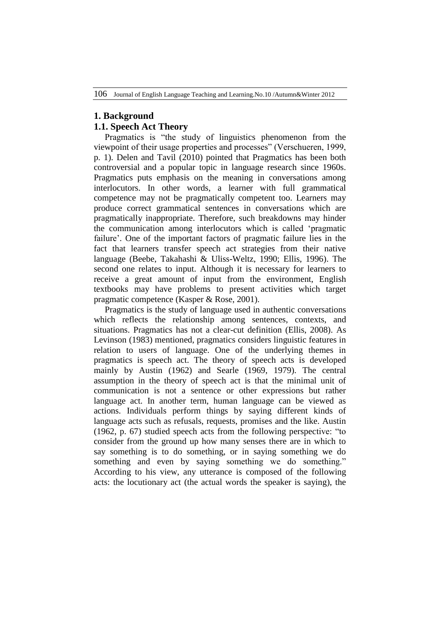# **1. Background**

# **1.1. Speech Act Theory**

 Pragmatics is "the study of linguistics phenomenon from the viewpoint of their usage properties and processes" (Verschueren, 1999, p. 1). Delen and Tavil (2010) pointed that Pragmatics has been both controversial and a popular topic in language research since 1960s. Pragmatics puts emphasis on the meaning in conversations among interlocutors. In other words, a learner with full grammatical competence may not be pragmatically competent too. Learners may produce correct grammatical sentences in conversations which are pragmatically inappropriate. Therefore, such breakdowns may hinder the communication among interlocutors which is called 'pragmatic failure'. One of the important factors of pragmatic failure lies in the fact that learners transfer speech act strategies from their native language (Beebe, Takahashi & Uliss-Weltz, 1990; Ellis, 1996). The second one relates to input. Although it is necessary for learners to receive a great amount of input from the environment, English textbooks may have problems to present activities which target pragmatic competence (Kasper & Rose, 2001).

 Pragmatics is the study of language used in authentic conversations which reflects the relationship among sentences, contexts, and situations. Pragmatics has not a clear-cut definition (Ellis, 2008). As Levinson (1983) mentioned, pragmatics considers linguistic features in relation to users of language. One of the underlying themes in pragmatics is speech act. The theory of speech acts is developed mainly by Austin (1962) and Searle (1969, 1979). The central assumption in the theory of speech act is that the minimal unit of communication is not a sentence or other expressions but rather language act. In another term, human language can be viewed as actions. Individuals perform things by saying different kinds of language acts such as refusals, requests, promises and the like. Austin (1962, p. 67) studied speech acts from the following perspective: "to consider from the ground up how many senses there are in which to say something is to do something, or in saying something we do something and even by saying something we do something." According to his view, any utterance is composed of the following acts: the locutionary act (the actual words the speaker is saying), the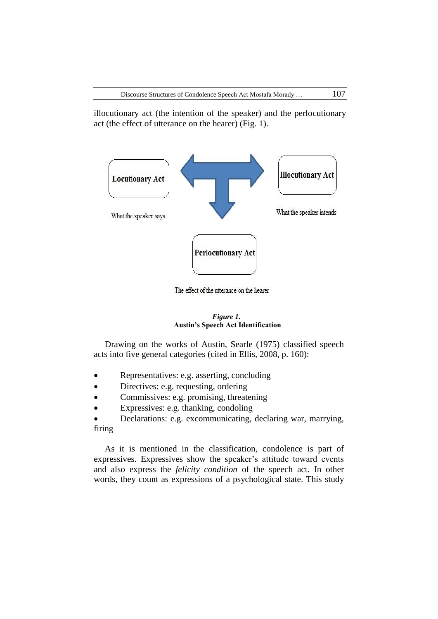illocutionary act (the intention of the speaker) and the perlocutionary act (the effect of utterance on the hearer) (Fig. 1).



The effect of the utterance on the hearer

#### *Figure 1.* **Austin's Speech Act Identification**

 Drawing on the works of Austin, Searle (1975) classified speech acts into five general categories (cited in Ellis, 2008, p. 160):

- Representatives: e.g. asserting, concluding
- Directives: e.g. requesting, ordering
- Commissives: e.g. promising, threatening
- Expressives: e.g. thanking, condoling

 Declarations: e.g. excommunicating, declaring war, marrying, firing

 As it is mentioned in the classification, condolence is part of expressives. Expressives show the speaker's attitude toward events and also express the *felicity condition* of the speech act. In other words, they count as expressions of a psychological state. This study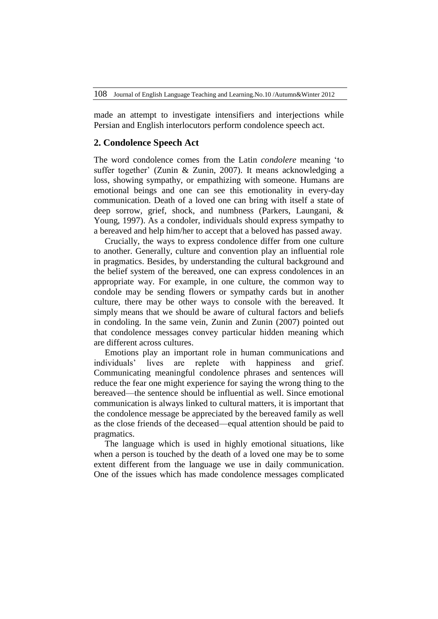made an attempt to investigate intensifiers and interjections while Persian and English interlocutors perform condolence speech act.

#### **2. Condolence Speech Act**

The word condolence comes from the Latin *condolere* meaning 'to suffer together' (Zunin & Zunin, 2007). It means acknowledging a loss, showing sympathy, or empathizing with someone. Humans are emotional beings and one can see this emotionality in every-day communication. Death of a loved one can bring with itself a state of deep sorrow, grief, shock, and numbness (Parkers, Laungani, & Young, 1997). As a condoler, individuals should express sympathy to a bereaved and help him/her to accept that a beloved has passed away.

 Crucially, the ways to express condolence differ from one culture to another. Generally, culture and convention play an influential role in pragmatics. Besides, by understanding the cultural background and the belief system of the bereaved, one can express condolences in an appropriate way. For example, in one culture, the common way to condole may be sending flowers or sympathy cards but in another culture, there may be other ways to console with the bereaved. It simply means that we should be aware of cultural factors and beliefs in condoling. In the same vein, Zunin and Zunin (2007) pointed out that condolence messages convey particular hidden meaning which are different across cultures.

 Emotions play an important role in human communications and individuals' lives are replete with happiness and grief. Communicating meaningful condolence phrases and sentences will reduce the fear one might experience for saying the wrong thing to the bereaved—the sentence should be influential as well. Since emotional communication is always linked to cultural matters, it is important that the condolence message be appreciated by the bereaved family as well as the close friends of the deceased—equal attention should be paid to pragmatics.

 The language which is used in highly emotional situations, like when a person is touched by the death of a loved one may be to some extent different from the language we use in daily communication. One of the issues which has made condolence messages complicated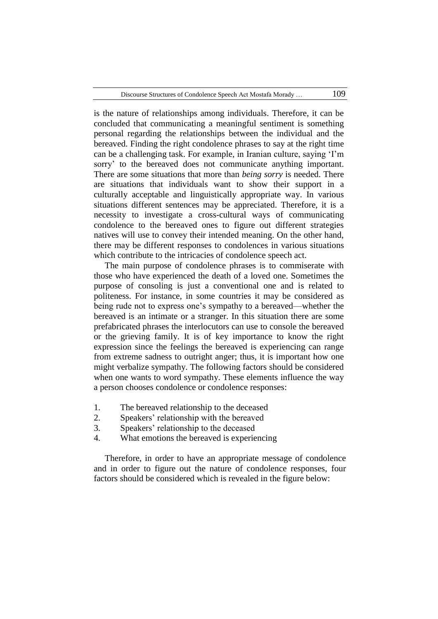is the nature of relationships among individuals. Therefore, it can be concluded that communicating a meaningful sentiment is something personal regarding the relationships between the individual and the bereaved. Finding the right condolence phrases to say at the right time can be a challenging task. For example, in Iranian culture, saying 'I'm sorry' to the bereaved does not communicate anything important. There are some situations that more than *being sorry* is needed. There are situations that individuals want to show their support in a culturally acceptable and linguistically appropriate way. In various situations different sentences may be appreciated. Therefore, it is a necessity to investigate a cross-cultural ways of communicating condolence to the bereaved ones to figure out different strategies natives will use to convey their intended meaning. On the other hand, there may be different responses to condolences in various situations which contribute to the intricacies of condolence speech act.

 The main purpose of condolence phrases is to commiserate with those who have experienced the death of a loved one. Sometimes the purpose of consoling is just a conventional one and is related to politeness. For instance, in some countries it may be considered as being rude not to express one's sympathy to a bereaved—whether the bereaved is an intimate or a stranger. In this situation there are some prefabricated phrases the interlocutors can use to console the bereaved or the grieving family. It is of key importance to know the right expression since the feelings the bereaved is experiencing can range from extreme sadness to outright anger; thus, it is important how one might verbalize sympathy. The following factors should be considered when one wants to word sympathy. These elements influence the way a person chooses condolence or condolence responses:

- 1. The bereaved relationship to the deceased
- 2. Speakers' relationship with the bereaved
- 3. Speakers' relationship to the deceased
- 4. What emotions the bereaved is experiencing

 Therefore, in order to have an appropriate message of condolence and in order to figure out the nature of condolence responses, four factors should be considered which is revealed in the figure below: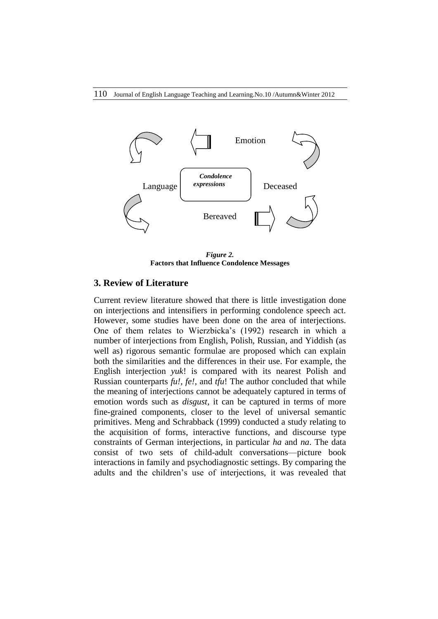

*Figure 2.* **Factors that Influence Condolence Messages**

#### **3. Review of Literature**

Current review literature showed that there is little investigation done on interjections and intensifiers in performing condolence speech act. However, some studies have been done on the area of interjections. One of them relates to Wierzbicka's (1992) research in which a number of interjections from English, Polish, Russian, and Yiddish (as well as) rigorous semantic formulae are proposed which can explain both the similarities and the differences in their use. For example, the English interjection *yuk*! is compared with its nearest Polish and Russian counterparts *fu!*, *fe!,* and *tfu*! The author concluded that while the meaning of interjections cannot be adequately captured in terms of emotion words such as *disgust*, it can be captured in terms of more fine-grained components, closer to the level of universal semantic primitives. Meng and Schrabback (1999) conducted a study relating to the acquisition of forms, interactive functions, and discourse type constraints of German interjections, in particular *ha* and *na*. The data consist of two sets of child-adult conversations—picture book interactions in family and psychodiagnostic settings. By comparing the adults and the children's use of interjections, it was revealed that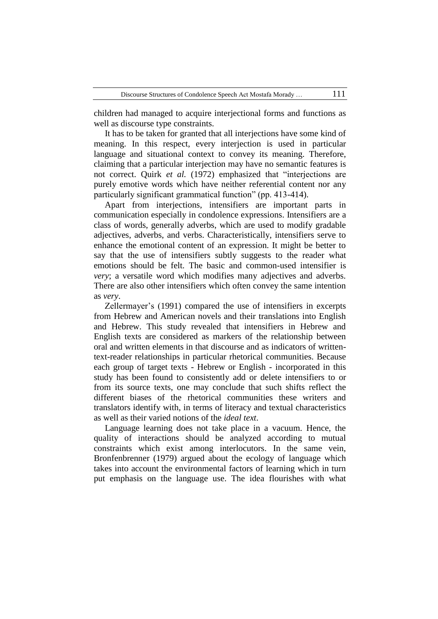children had managed to acquire interjectional forms and functions as well as discourse type constraints.

 It has to be taken for granted that all interjections have some kind of meaning. In this respect, every interjection is used in particular language and situational context to convey its meaning. Therefore, claiming that a particular interjection may have no semantic features is not correct. Quirk *et al.* (1972) emphasized that "interjections are purely emotive words which have neither referential content nor any particularly significant grammatical function" (pp. 413-414).

 Apart from interjections, intensifiers are important parts in communication especially in condolence expressions. Intensifiers are a class of words, generally adverbs, which are used to modify gradable adjectives, adverbs, and verbs. Characteristically, intensifiers serve to enhance the emotional content of an expression. It might be better to say that the use of intensifiers subtly suggests to the reader what emotions should be felt. The basic and common-used intensifier is *very*; a versatile word which modifies many adjectives and adverbs. There are also other intensifiers which often convey the same intention as *very*.

 Zellermayer's (1991) compared the use of intensifiers in excerpts from Hebrew and American novels and their translations into English and Hebrew. This study revealed that intensifiers in Hebrew and English texts are considered as markers of the relationship between oral and written elements in that discourse and as indicators of writtentext-reader relationships in particular rhetorical communities. Because each group of target texts - Hebrew or English - incorporated in this study has been found to consistently add or delete intensifiers to or from its source texts, one may conclude that such shifts reflect the different biases of the rhetorical communities these writers and translators identify with, in terms of literacy and textual characteristics as well as their varied notions of the *ideal text*.

 Language learning does not take place in a vacuum. Hence, the quality of interactions should be analyzed according to mutual constraints which exist among interlocutors. In the same vein, Bronfenbrenner (1979) argued about the ecology of language which takes into account the environmental factors of learning which in turn put emphasis on the language use. The idea flourishes with what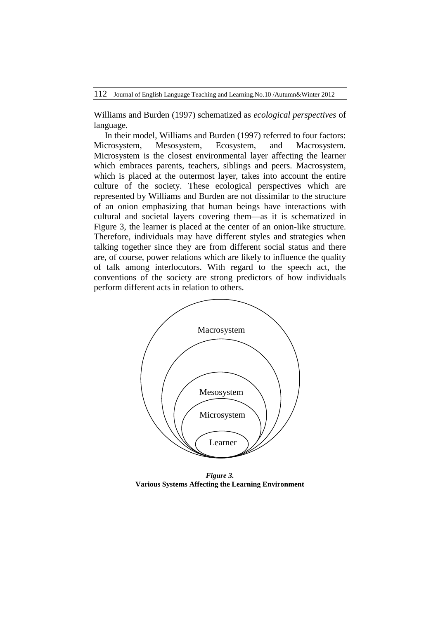Williams and Burden (1997) schematized as *ecological perspectives* of language.

 In their model, Williams and Burden (1997) referred to four factors: Microsystem, Mesosystem, Ecosystem, and Macrosystem. Microsystem is the closest environmental layer affecting the learner which embraces parents, teachers, siblings and peers. Macrosystem, which is placed at the outermost layer, takes into account the entire culture of the society. These ecological perspectives which are represented by Williams and Burden are not dissimilar to the structure of an onion emphasizing that human beings have interactions with cultural and societal layers covering them—as it is schematized in Figure 3, the learner is placed at the center of an onion-like structure. Therefore, individuals may have different styles and strategies when talking together since they are from different social status and there are, of course, power relations which are likely to influence the quality of talk among interlocutors. With regard to the speech act, the conventions of the society are strong predictors of how individuals perform different acts in relation to others.



*Figure 3.* **Various Systems Affecting the Learning Environment**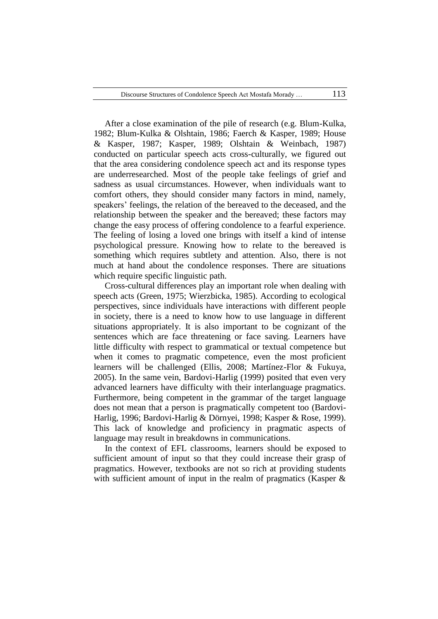After a close examination of the pile of research (e.g. Blum-Kulka, 1982; Blum-Kulka & Olshtain, 1986; Faerch & Kasper, 1989; House & Kasper, 1987; Kasper, 1989; Olshtain & Weinbach, 1987) conducted on particular speech acts cross-culturally, we figured out that the area considering condolence speech act and its response types are underresearched. Most of the people take feelings of grief and sadness as usual circumstances. However, when individuals want to comfort others, they should consider many factors in mind, namely, speakers' feelings, the relation of the bereaved to the deceased, and the relationship between the speaker and the bereaved; these factors may change the easy process of offering condolence to a fearful experience. The feeling of losing a loved one brings with itself a kind of intense psychological pressure. Knowing how to relate to the bereaved is something which requires subtlety and attention. Also, there is not much at hand about the condolence responses. There are situations which require specific linguistic path.

 Cross-cultural differences play an important role when dealing with speech acts (Green, 1975; Wierzbicka, 1985). According to ecological perspectives, since individuals have interactions with different people in society, there is a need to know how to use language in different situations appropriately. It is also important to be cognizant of the sentences which are face threatening or face saving. Learners have little difficulty with respect to grammatical or textual competence but when it comes to pragmatic competence, even the most proficient learners will be challenged (Ellis, 2008; Martínez-Flor & Fukuya, 2005). In the same vein, Bardovi-Harlig (1999) posited that even very advanced learners have difficulty with their interlanguage pragmatics. Furthermore, being competent in the grammar of the target language does not mean that a person is pragmatically competent too (Bardovi-Harlig, 1996; Bardovi-Harlig & Dörnyei, 1998; Kasper & Rose, 1999). This lack of knowledge and proficiency in pragmatic aspects of language may result in breakdowns in communications.

 In the context of EFL classrooms, learners should be exposed to sufficient amount of input so that they could increase their grasp of pragmatics. However, textbooks are not so rich at providing students with sufficient amount of input in the realm of pragmatics (Kasper &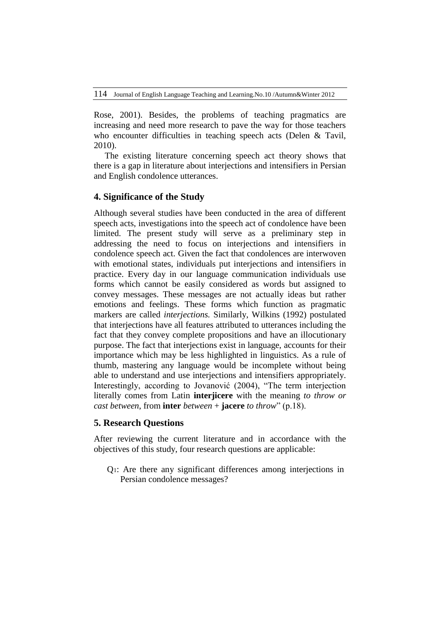Rose, 2001). Besides, the problems of teaching pragmatics are increasing and need more research to pave the way for those teachers who encounter difficulties in teaching speech acts (Delen & Tavil, 2010).

 The existing literature concerning speech act theory shows that there is a gap in literature about interjections and intensifiers in Persian and English condolence utterances.

## **4. Significance of the Study**

Although several studies have been conducted in the area of different speech acts, investigations into the speech act of condolence have been limited. The present study will serve as a preliminary step in addressing the need to focus on interjections and intensifiers in condolence speech act. Given the fact that condolences are interwoven with emotional states, individuals put interjections and intensifiers in practice. Every day in our language communication individuals use forms which cannot be easily considered as words but assigned to convey messages. These messages are not actually ideas but rather emotions and feelings. These forms which function as pragmatic markers are called *interjections.* Similarly, Wilkins (1992) postulated that interjections have all features attributed to utterances including the fact that they convey complete propositions and have an illocutionary purpose. The fact that interjections exist in language, accounts for their importance which may be less highlighted in linguistics. As a rule of thumb, mastering any language would be incomplete without being able to understand and use interjections and intensifiers appropriately. Interestingly, according to Jovanović (2004), "The term interjection literally comes from Latin **interjicere** with the meaning *to throw or cast between*, from **inter** *between* + **jacere** *to throw*" (p.18).

## **5. Research Questions**

After reviewing the current literature and in accordance with the objectives of this study, four research questions are applicable:

Q1: Are there any significant differences among interjections in Persian condolence messages?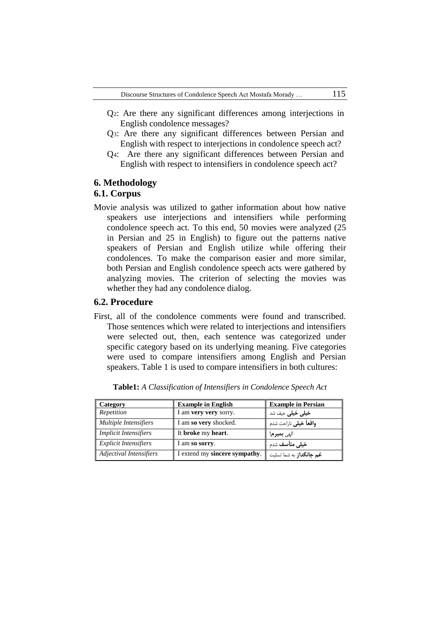- Q2: Are there any significant differences among interjections in English condolence messages?
- Q3: Are there any significant differences between Persian and English with respect to interjections in condolence speech act?
- Q4: Are there any significant differences between Persian and English with respect to intensifiers in condolence speech act?

# **6. Methodology**

## **6.1. Corpus**

Movie analysis was utilized to gather information about how native speakers use interjections and intensifiers while performing condolence speech act. To this end, 50 movies were analyzed (25 in Persian and 25 in English) to figure out the patterns native speakers of Persian and English utilize while offering their condolences. To make the comparison easier and more similar, both Persian and English condolence speech acts were gathered by analyzing movies. The criterion of selecting the movies was whether they had any condolence dialog.

#### **6.2. Procedure**

First, all of the condolence comments were found and transcribed. Those sentences which were related to interjections and intensifiers were selected out, then, each sentence was categorized under specific category based on its underlying meaning. Five categories were used to compare intensifiers among English and Persian speakers. Table 1 is used to compare intensifiers in both cultures:

| Category                     | <b>Example in English</b>     | <b>Example in Persian</b>      |  |  |
|------------------------------|-------------------------------|--------------------------------|--|--|
| Repetition                   | I am very very sorry.         | <b>خیلی خیلی</b> حیف شد        |  |  |
| <b>Multiple Intensifiers</b> | I am so very shocked.         | <b>واقعاً خيلى</b> ناراحت شدم  |  |  |
| <b>Implicit Intensifiers</b> | It broke my heart.            | الهي <b>بمير م</b> !           |  |  |
| <b>Explicit Intensifiers</b> | I am so sorry.                | <b>خیلی متأسف</b> شدم          |  |  |
| Adjectival Intensifiers      | I extend my sincere sympathy. | <b>غم جانگداز</b> به شما تسلیت |  |  |

**Table1:** *A Classification of Intensifiers in Condolence Speech Act*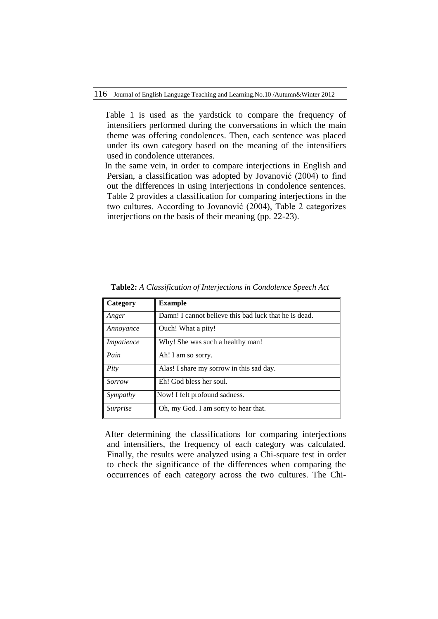Table 1 is used as the yardstick to compare the frequency of intensifiers performed during the conversations in which the main theme was offering condolences. Then, each sentence was placed under its own category based on the meaning of the intensifiers used in condolence utterances.

 In the same vein, in order to compare interjections in English and Persian, a classification was adopted by Jovanović (2004) to find out the differences in using interjections in condolence sentences. Table 2 provides a classification for comparing interjections in the two cultures. According to Jovanović (2004), Table 2 categorizes interjections on the basis of their meaning (pp. 22-23).

| Category        | <b>Example</b>                                        |
|-----------------|-------------------------------------------------------|
| Anger           | Damn! I cannot believe this bad luck that he is dead. |
| Annoyance       | Ouch! What a pity!                                    |
| Impatience      | Why! She was such a healthy man!                      |
| Pain            | Ah! I am so sorry.                                    |
| Pity            | Alas! I share my sorrow in this sad day.              |
| Sorrow          | Eh! God bless her soul.                               |
| Sympathy        | Now! I felt profound sadness.                         |
| <i>Surprise</i> | Oh, my God. I am sorry to hear that.                  |

**Table2:** *A Classification of Interjections in Condolence Speech Act*

 After determining the classifications for comparing interjections and intensifiers, the frequency of each category was calculated. Finally, the results were analyzed using a Chi-square test in order to check the significance of the differences when comparing the occurrences of each category across the two cultures. The Chi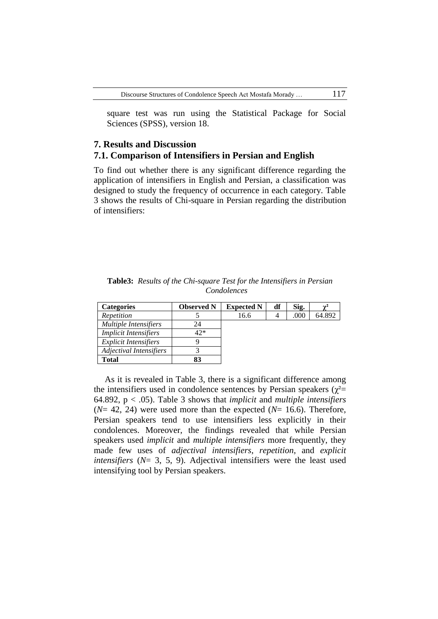square test was run using the Statistical Package for Social Sciences (SPSS), version 18.

## **7. Results and Discussion 7.1. Comparison of Intensifiers in Persian and English**

To find out whether there is any significant difference regarding the application of intensifiers in English and Persian, a classification was designed to study the frequency of occurrence in each category. Table 3 shows the results of Chi-square in Persian regarding the distribution of intensifiers:

|             | <b>Table3:</b> Results of the Chi-square Test for the Intensifiers in Persian |  |  |  |  |  |  |  |
|-------------|-------------------------------------------------------------------------------|--|--|--|--|--|--|--|
| Condolences |                                                                               |  |  |  |  |  |  |  |

| <b>Categories</b>            | <b>Observed N</b> | <b>Expected N</b> | df | Sig. | $\sim$ <sup>2</sup> |
|------------------------------|-------------------|-------------------|----|------|---------------------|
| Repetition                   |                   | 16.6              |    | .000 | 64.892              |
| Multiple Intensifiers        | 24                |                   |    |      |                     |
| <b>Implicit Intensifiers</b> | 42*               |                   |    |      |                     |
| <i>Explicit Intensifiers</i> |                   |                   |    |      |                     |
| Adjectival Intensifiers      |                   |                   |    |      |                     |
| <b>Total</b>                 | 83                |                   |    |      |                     |

 As it is revealed in Table 3, there is a significant difference among the intensifiers used in condolence sentences by Persian speakers ( $\chi^2$ = 64.892, p < .05). Table 3 shows that *implicit* and *multiple intensifiers*  $(N= 42, 24)$  were used more than the expected  $(N= 16.6)$ . Therefore, Persian speakers tend to use intensifiers less explicitly in their condolences. Moreover, the findings revealed that while Persian speakers used *implicit* and *multiple intensifiers* more frequently, they made few uses of *adjectival intensifiers*, *repetition*, and *explicit intensifiers* (*N*= 3, 5, 9). Adjectival intensifiers were the least used intensifying tool by Persian speakers.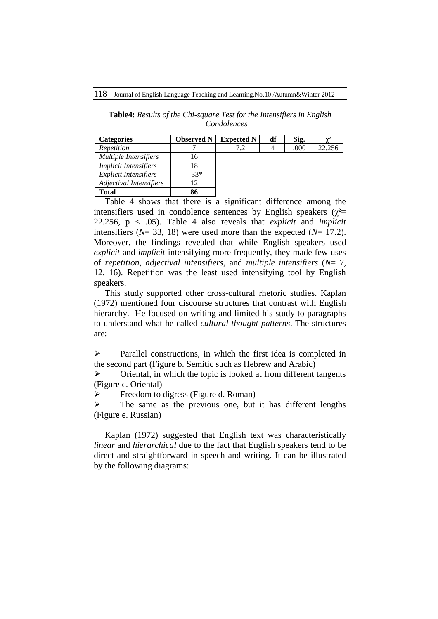**Table4:** *Results of the Chi-square Test for the Intensifiers in English Condolences*

| <b>Categories</b>            | <b>Observed N</b> | <b>Expected N</b> | df | Sig. |        |
|------------------------------|-------------------|-------------------|----|------|--------|
| Repetition                   |                   | 17.2              |    | .000 | 22.256 |
| <b>Multiple Intensifiers</b> | 16                |                   |    |      |        |
| <i>Implicit Intensifiers</i> | 18                |                   |    |      |        |
| <i>Explicit Intensifiers</i> | $33*$             |                   |    |      |        |
| Adjectival Intensifiers      | 12                |                   |    |      |        |
| <b>Total</b>                 | 86                |                   |    |      |        |

 Table 4 shows that there is a significant difference among the intensifiers used in condolence sentences by English speakers ( $\chi^2$ = 22.256, p < .05). Table 4 also reveals that *explicit* and *implicit* intensifiers (*N*= 33, 18) were used more than the expected (*N*= 17.2). Moreover, the findings revealed that while English speakers used *explicit* and *implicit* intensifying more frequently, they made few uses of *repetition*, *adjectival intensifiers*, and *multiple intensifiers* (*N*= 7, 12, 16). Repetition was the least used intensifying tool by English speakers.

 This study supported other cross-cultural rhetoric studies. Kaplan (1972) mentioned four discourse structures that contrast with English hierarchy. He focused on writing and limited his study to paragraphs to understand what he called *cultural thought patterns*. The structures are:

 $\triangleright$  Parallel constructions, in which the first idea is completed in the second part (Figure b. Semitic such as Hebrew and Arabic)

 $\triangleright$  Oriental, in which the topic is looked at from different tangents (Figure c. Oriental)

Freedom to digress (Figure d. Roman)

 $\triangleright$  The same as the previous one, but it has different lengths (Figure e. Russian)

 Kaplan (1972) suggested that English text was characteristically *linear* and *hierarchical* due to the fact that English speakers tend to be direct and straightforward in speech and writing. It can be illustrated by the following diagrams: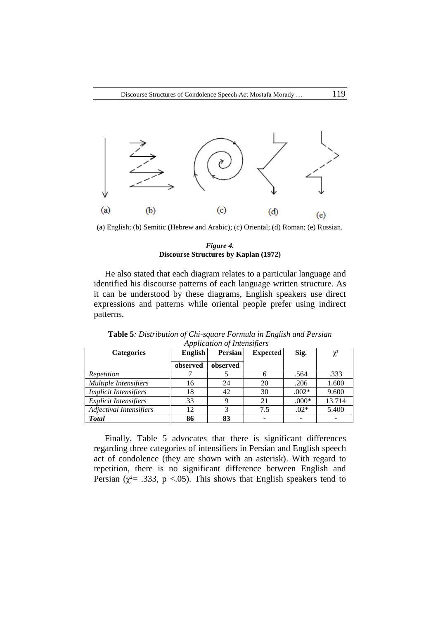

(a) English; (b) Semitic (Hebrew and Arabic); (c) Oriental; (d) Roman; (e) Russian.

#### *Figure 4.* **Discourse Structures by Kaplan (1972)**

 He also stated that each diagram relates to a particular language and identified his discourse patterns of each language written structure. As it can be understood by these diagrams, English speakers use direct expressions and patterns while oriental people prefer using indirect patterns.

| <b>Categories</b>            | English  | <b>Persian</b> | <b>Expected</b> | Sig.    | $\chi^2$ |
|------------------------------|----------|----------------|-----------------|---------|----------|
|                              | observed | observed       |                 |         |          |
| Repetition                   |          |                | 6               | .564    | .333     |
| <b>Multiple Intensifiers</b> | 16       | 24             | 20              | .206    | 1.600    |
| <b>Implicit Intensifiers</b> | 18       | 42             | 30              | $.002*$ | 9.600    |
| <b>Explicit Intensifiers</b> | 33       |                | 21              | $.000*$ | 13.714   |
| Adjectival Intensifiers      | 12       | 3              | 7.5             | $.02*$  | 5.400    |
| <b>Total</b>                 | 86       | 83             |                 | -       |          |

**Table 5***: Distribution of Chi-square Formula in English and Persian Application of Intensifiers*

 Finally, Table 5 advocates that there is significant differences regarding three categories of intensifiers in Persian and English speech act of condolence (they are shown with an asterisk). With regard to repetition, there is no significant difference between English and Persian ( $\chi^2$ = .333, p <.05). This shows that English speakers tend to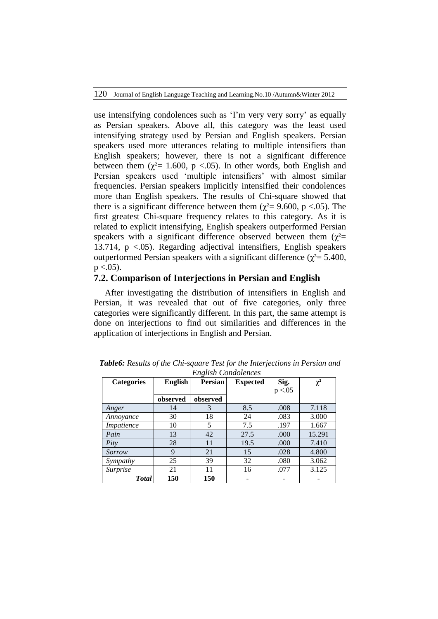use intensifying condolences such as 'I'm very very sorry' as equally as Persian speakers. Above all, this category was the least used intensifying strategy used by Persian and English speakers. Persian speakers used more utterances relating to multiple intensifiers than English speakers; however, there is not a significant difference between them ( $\chi^2$ = 1.600, p <.05). In other words, both English and Persian speakers used 'multiple intensifiers' with almost similar frequencies. Persian speakers implicitly intensified their condolences more than English speakers. The results of Chi-square showed that there is a significant difference between them ( $\chi^2$  = 9.600, p <.05). The first greatest Chi-square frequency relates to this category. As it is related to explicit intensifying, English speakers outperformed Persian speakers with a significant difference observed between them  $(\chi^2=$ 13.714, p <.05). Regarding adjectival intensifiers, English speakers outperformed Persian speakers with a significant difference ( $χ² = 5.400$ ,  $p < .05$ ).

# **7.2. Comparison of Interjections in Persian and English**

 After investigating the distribution of intensifiers in English and Persian, it was revealed that out of five categories, only three categories were significantly different. In this part, the same attempt is done on interjections to find out similarities and differences in the application of interjections in English and Persian.

| <b>Categories</b> | English  | <b>Persian</b> | <b>Expected</b> | Sig.     | $\chi^2$ |
|-------------------|----------|----------------|-----------------|----------|----------|
|                   |          |                |                 | p < 0.05 |          |
|                   | observed | observed       |                 |          |          |
| Anger             | 14       | 3              | 8.5             | .008     | 7.118    |
| Annoyance         | 30       | 18             | 24              | .083     | 3.000    |
| Impatience        | 10       | 5              | 7.5             | .197     | 1.667    |
| Pain              | 13       | 42             | 27.5            | .000     | 15.291   |
| Pity              | 28       | 11             | 19.5            | .000     | 7.410    |
| Sorrow            | 9        | 21             | 15              | .028     | 4.800    |
| Sympathy          | 25       | 39             | 32              | .080     | 3.062    |
| Surprise          | 21       | 11             | 16              | .077     | 3.125    |
| <b>Total</b>      | 150      | 150            |                 |          |          |

*Table6: Results of the Chi-square Test for the Interjections in Persian and English Condolences*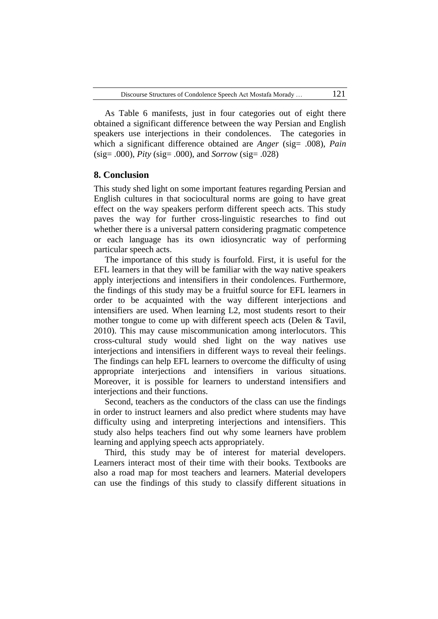As Table 6 manifests, just in four categories out of eight there obtained a significant difference between the way Persian and English speakers use interjections in their condolences. The categories in which a significant difference obtained are *Anger* (sig= .008), *Pain* (sig= .000), *Pity* (sig= .000), and *Sorrow* (sig= .028)

### **8. Conclusion**

This study shed light on some important features regarding Persian and English cultures in that sociocultural norms are going to have great effect on the way speakers perform different speech acts. This study paves the way for further cross-linguistic researches to find out whether there is a universal pattern considering pragmatic competence or each language has its own idiosyncratic way of performing particular speech acts.

 The importance of this study is fourfold. First, it is useful for the EFL learners in that they will be familiar with the way native speakers apply interjections and intensifiers in their condolences. Furthermore, the findings of this study may be a fruitful source for EFL learners in order to be acquainted with the way different interjections and intensifiers are used. When learning L2, most students resort to their mother tongue to come up with different speech acts (Delen & Tavil, 2010). This may cause miscommunication among interlocutors. This cross-cultural study would shed light on the way natives use interjections and intensifiers in different ways to reveal their feelings. The findings can help EFL learners to overcome the difficulty of using appropriate interjections and intensifiers in various situations. Moreover, it is possible for learners to understand intensifiers and interjections and their functions.

 Second, teachers as the conductors of the class can use the findings in order to instruct learners and also predict where students may have difficulty using and interpreting interjections and intensifiers. This study also helps teachers find out why some learners have problem learning and applying speech acts appropriately.

 Third, this study may be of interest for material developers. Learners interact most of their time with their books. Textbooks are also a road map for most teachers and learners. Material developers can use the findings of this study to classify different situations in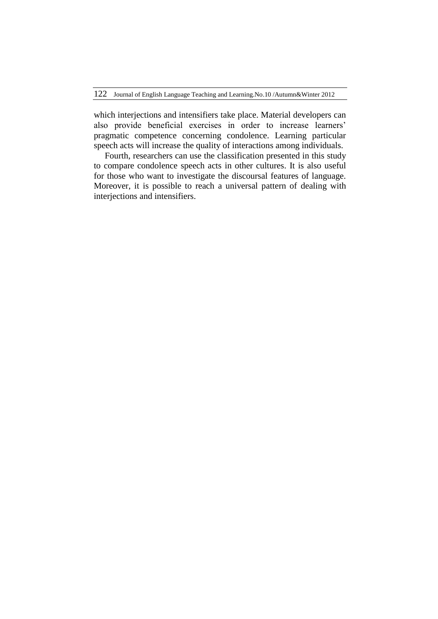which interjections and intensifiers take place. Material developers can also provide beneficial exercises in order to increase learners' pragmatic competence concerning condolence. Learning particular speech acts will increase the quality of interactions among individuals.

 Fourth, researchers can use the classification presented in this study to compare condolence speech acts in other cultures. It is also useful for those who want to investigate the discoursal features of language. Moreover, it is possible to reach a universal pattern of dealing with interjections and intensifiers.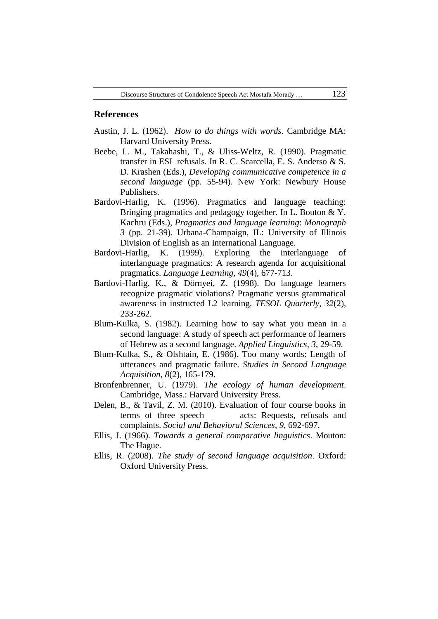#### **References**

- Austin, J. L. (1962). *How to do things with words.* Cambridge MA: Harvard University Press.
- Beebe, L. M., Takahashi, T., & Uliss-Weltz, R. (1990). Pragmatic transfer in ESL refusals. In R. C. Scarcella, E. S. Anderso & S. D. Krashen (Eds.), *Developing communicative competence in a second language* (pp. 55-94). New York: Newbury House Publishers.
- Bardovi-Harlig, K. (1996). Pragmatics and language teaching: Bringing pragmatics and pedagogy together. In L. Bouton & Y. Kachru (Eds.), *Pragmatics and language learning*: *Monograph 3* (pp. 21-39). Urbana-Champaign, IL: University of Illinois Division of English as an International Language.
- Bardovi-Harlig, K. (1999). Exploring the interlanguage of interlanguage pragmatics: A research agenda for acquisitional pragmatics. *Language Learning*, *49*(4), 677-713.
- Bardovi-Harlig, K., & Dörnyei, Z. (1998). Do language learners recognize pragmatic violations? Pragmatic versus grammatical awareness in instructed L2 learning. *TESOL Quarterly, 32*(2), 233-262.
- Blum-Kulka, S. (1982). Learning how to say what you mean in a second language: A study of speech act performance of learners of Hebrew as a second language. *Applied Linguistics*, *3*, 29-59.
- Blum-Kulka, S., & Olshtain, E. (1986). Too many words: Length of utterances and pragmatic failure. *Studies in Second Language Acquisition*, *8*(2), 165-179.
- Bronfenbrenner, U. (1979). *The ecology of human development*. Cambridge, Mass.: Harvard University Press.
- Delen, B., & Tavil, Z. M. (2010). Evaluation of four course books in terms of three speech acts: Requests, refusals and complaints. *Social and Behavioral Sciences*, *9*, 692-697.
- Ellis, J. (1966). *Towards a general comparative linguistics*. Mouton: The Hague.
- Ellis, R. (2008). *The study of second language acquisition*. Oxford: Oxford University Press.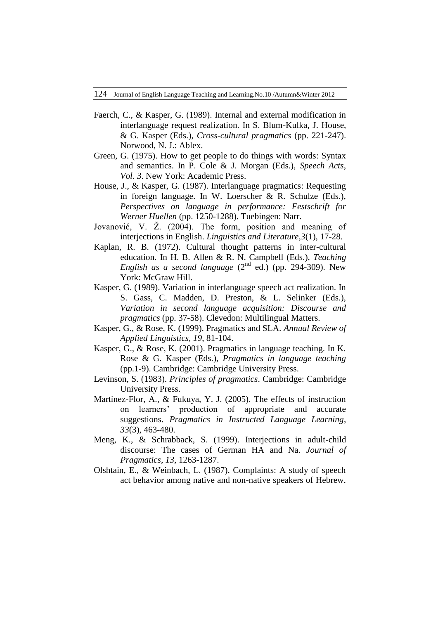- Faerch, C., & Kasper, G. (1989). Internal and external modification in interlanguage request realization. In S. Blum-Kulka, J. House, & G. Kasper (Eds.), *Cross-cultural pragmatics* (pp. 221-247). Norwood, N. J.: Ablex.
- Green, G. (1975). How to get people to do things with words: Syntax and semantics. In P. Cole & J. Morgan (Eds.), *Speech Acts*, *Vol. 3*. New York: Academic Press.
- House, J., & Kasper, G. (1987). Interlanguage pragmatics: Requesting in foreign language. In W. Loerscher & R. Schulze (Eds.), *Perspectives on language in performance: Festschrift for Werner Huellen* (pp. 1250-1288). Tuebingen: Narr.
- Jovanović, V. Ž. (2004). The form, position and meaning of interjections in English. *Linguistics and Literature,3*(1), 17-28.
- Kaplan, R. B. (1972). Cultural thought patterns in inter-cultural education. In H. B. Allen & R. N. Campbell (Eds.), *Teaching English as a second language*  $(2^{nd}$  ed.) (pp. 294-309). New York: McGraw Hill.
- Kasper, G. (1989). Variation in interlanguage speech act realization. In S. Gass, C. Madden, D. Preston, & L. Selinker (Eds.), *Variation in second language acquisition: Discourse and pragmatics* (pp. 37-58). Clevedon: Multilingual Matters.
- Kasper, G., & Rose, K. (1999). Pragmatics and SLA. *Annual Review of Applied Linguistics, 19*, 81-104.
- Kasper, G., & Rose, K. (2001). Pragmatics in language teaching. In K. Rose & G. Kasper (Eds.), *Pragmatics in language teaching*  (pp.1-9). Cambridge: Cambridge University Press.
- Levinson, S. (1983). *Principles of pragmatics*. Cambridge: Cambridge University Press.
- Martínez-Flor, A., & Fukuya, Y. J. (2005). The effects of instruction on learners' production of appropriate and accurate suggestions. *Pragmatics in Instructed Language Learning*, *33*(3), 463-480.
- Meng, K., & Schrabback, S. (1999). Interjections in adult-child discourse: The cases of German HA and Na. *Journal of Pragmatics, 13*, 1263-1287.
- Olshtain, E., & Weinbach, L. (1987). Complaints: A study of speech act behavior among native and non-native speakers of Hebrew.